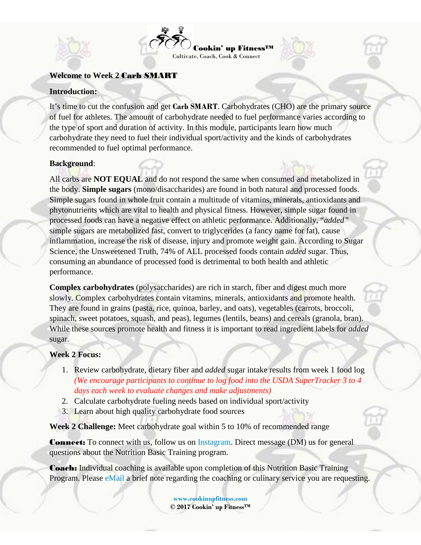

#### **Welcome to Week 2** Carb SMART

#### **Introduction:**

It's time to cut the confusion and get **Carb SMART**. Carbohydrates (CHO) are the primary source of fuel for athletes. The amount of carbohydrate needed to fuel performance varies according to the type of sport and duration of activity. In this module, participants learn how much carbohydrate they need to fuel their individual sport/activity and the kinds of carbohydrates recommended to fuel optimal performance.

#### **Background**:

All carbs are **NOT EQUAL** and do not respond the same when consumed and metabolized in the body. **Simple sugars** (mono/disaccharides) are found in both natural and processed foods. Simple sugars found in whole fruit contain a multitude of vitamins, minerals, antioxidants and phytonutrients which are vital to health and physical fitness. However, simple sugar found in processed foods can have a negative effect on athletic performance. Additionally, "*added"* simple sugars are metabolized fast, convert to triglycerides (a fancy name for fat), cause inflammation, increase the risk of disease, injury and promote weight gain. According to Sugar Science, the Unsweetened Truth, 74% of ALL processed foods contain *added* sugar. Thus, consuming an abundance of processed food is detrimental to both health and athletic performance.

**Complex carbohydrates** (polysaccharides) are rich in starch, fiber and digest much more slowly. Complex carbohydrates contain vitamins, minerals, antioxidants and promote health. They are found in grains (pasta, rice, quinoa, barley, and oats), vegetables (carrots, broccoli, spinach, sweet potatoes, squash, and peas), legumes (lentils, beans) and cereals (granola, bran). While these sources promote health and fitness it is important to read ingredient labels for *added* sugar.

#### **Week 2 Focus:**

- 1. Review carbohydrate, dietary fiber and *added* sugar intake results from week 1 food log *(We encourage participants to continue to log food into the USDA SuperTracker 3 to 4 days each week to evaluate changes and make adjustments)*
- 2. Calculate carbohydrate fueling needs based on individual sport/activity
- 3. Learn about high quality carbohydrate food sources

**Week 2 Challenge:** Meet carbohydrate goal within 5 to 10% of recommended range

**Connect:** To connect with us, follow us on **Instagram**. Direct message (DM) us for general questions about the Nutrition Basic Training program.

Coach: Individual coaching is available upon completion of this Nutrition Basic Training Program. Please [eMail](mailto:info@cookinupfitness.com) a brief note regarding the coaching or culinary service you are requesting.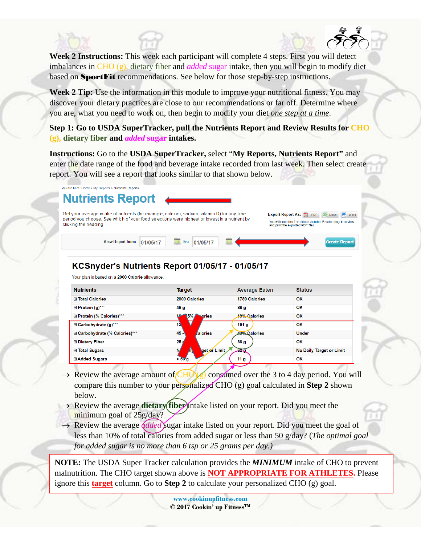**Week 2 Instructions:** This week each participant will complete 4 steps. First you will detect imbalances in CHO (g), dietary fiber and *added* sugar intake, then you will begin to modify diet based on SportFit recommendations. See below for those step-by-step instructions.

**Week 2 Tip:** Use the information in this module to improve your nutritional fitness. You may discover your dietary practices are close to our recommendations or far off. Determine where you are, what you need to work on, then begin to modify your diet *one step at a time*.

**Step 1: Go to USDA SuperTracker, pull the Nutrients Report and Review Results for CHO (g), dietary fiber and** *added* **sugar intakes.**

**Instructions:** Go to the **USDA SuperTracker,** select "**My Reports, Nutrients Report"** and enter the date range of the food and beverage intake recorded from last week. Then select create report. You will see a report that looks similar to that shown below.

|                       | You are here: Home > My Reports > Nutrients Reports<br><b>Nutrients Report</b>                                                                                                              |                                                                                                                                            |
|-----------------------|---------------------------------------------------------------------------------------------------------------------------------------------------------------------------------------------|--------------------------------------------------------------------------------------------------------------------------------------------|
| clicking the heading. | Get your average intake of nutrients (for example, calcium, sodium, vitamin D) for any time<br>period you choose. See which of your food selections were highest or lowest in a nutrient by | Export Report As: 1 PDF X Excel W Word<br>You will need the free Adobe Acrobat Reader plug-in to view<br>and print the exported PDF files. |
|                       | <b>View Report from:</b>                                                                                                                                                                    | <b>Create Report</b>                                                                                                                       |

## **KCSnyder's Nutrients Report 01/05/17 - 01/05/17**

Your plan is based on a 2000 Calorie allowance.

| <b>Nutrients</b>               | Target                      | <b>Average Eaten</b> | <b>Status</b>            |
|--------------------------------|-----------------------------|----------------------|--------------------------|
| 田 Total Calories               | 2000 Calories               | <b>1789 Calories</b> | OK                       |
| $\boxplus$ Protein (g)***      | 46 g                        | 86 g                 | OK                       |
| E Protein (% Calories)***      | 10.<br>15%<br><b>Nories</b> | <b>19% Calories</b>  | OK                       |
| E Carbohydrate (g)***          | 13 <sub>k</sub>             | 191 <sub>g</sub>     | OK                       |
| E Carbohydrate (% Calories)*** | $45 -$<br><i>L</i> alories  | 43% Calories         | <b>Under</b>             |
| ⊞ Dietary Fiber                | 25 <sub>9</sub>             | 36 <sub>g</sub>      | OK                       |
| <b>⊞ Total Sugars</b>          | N,<br>get or Limit          | <b>AVA</b>           | No Daily Target or Limit |
| 田 Added Sugars                 | $< 50$ g                    | 11 <sub>g</sub>      | OK                       |

- $\rightarrow$  Review the average amount of  $CHO(g)$  consumed over the 3 to 4 day period. You will compare this number to your personalized CHO (g) goal calculated in **Step 2** shown below.
- → Review the average **dietary fiber** intake listed on your report. Did you meet the minimum goal of 25g/day?
- → Review the average *(dded*) sugar intake listed on your report. Did you meet the goal of less than 10% of total calories from added sugar or less than 50 g/day? (*The optimal goal for added sugar is no more than 6 tsp or 25 grams per day.)*

**NOTE:** The USDA Super Tracker calculation provides the *MINIMUM* intake of CHO to prevent malnutrition. The CHO target shown above is **NOT APPROPRIATE FOR ATHLETES.** Please ignore this **target** column. Go to **Step 2** to calculate your personalized CHO (g) goal.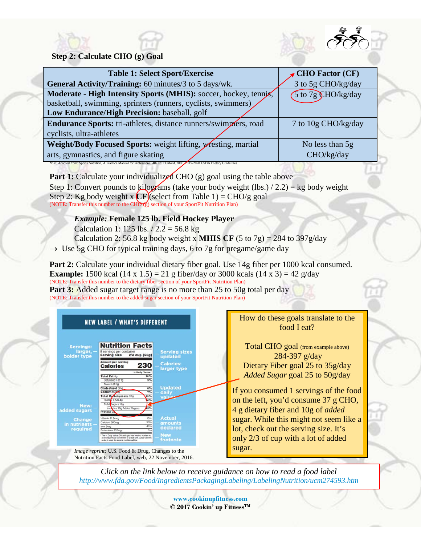



| <b>Table 1: Select Sport/Exercise</b>                                                                                            | $\sqrt{\phantom{a}}$ CHO Factor (CF) |
|----------------------------------------------------------------------------------------------------------------------------------|--------------------------------------|
| General Activity/Training: 60 minutes/3 to 5 days/wk.                                                                            | 3 to 5g CHO/kg/day                   |
| Moderate - High Intensity Sports (MHIS): soccer, hockey, tennis,                                                                 | 5 to 7g CHO/kg/day                   |
| basketball, swimming, sprinters (runners, cyclists, swimmers)                                                                    |                                      |
| Low Endurance/High Precision: baseball, golf                                                                                     |                                      |
| Endurance Sports: tri-athletes, distance runners/swimplers, road                                                                 | 7 to 10g CHO/kg/day                  |
| cyclists, ultra-athletes                                                                                                         |                                      |
| Weight/Body Focused Sports: weight lifting, wresting, martial                                                                    | No less than 5g                      |
| arts, gymnastics, and figure skating                                                                                             | CHO/kg/day                           |
| Note: Adapted from: Sports Nutrition, A Practice Manual for Professional 4th Ed. Dunford, 2006 2015-2020 USDA Dietary Guidelines |                                      |

**Part 1:** Calculate your individualized CHO (g) goal using the table above Step 1: Convert pounds to kilograms (take your body weight (lbs.)  $/ 2.2$ ) = kg body weight Step 2: Kg body weight x  $CF$  (select from Table 1) = CHO/g goal (NOTE: Transfer this number to the CHO (g) section of your SportFit Nutrition Plan)

### *Example:* **Female 125 lb. Field Hockey Player**

Calculation 1: 125 lbs.  $/ 2.2 = 56.8$  kg

Calculation 2: 56.8 kg body weight x **MHIS CF** (5 to 7g) = 284 to 397g/day

 $\rightarrow$  Use 5g CHO for typical training days, 6 to 7g for pregame/game day

**Part 2:** Calculate your individual dietary fiber goal. Use 14g fiber per 1000 kcal consumed. **Example:** 1500 kcal  $(14 \times 1.5) = 21$  g fiber/day or 3000 kcals  $(14 \times 3) = 42$  g/day (NOTE: Transfer this number to the dietary fiber section of your SportFit Nutrition Plan) **Part 3:** Added sugar target range is no more than 25 to 50g total per day (NOTE: Transfer this number to the added sugar section of your SportFit Nutrition Plan)



*Image reprint:* U.S. Food & Drug, Changes to the Nutrition Facts Food Label, web, 22 November, 2016.

### How do these goals translate to the food I eat?

Total CHO goal (from example above) 284-397 g/day Dietary Fiber goal 25 to 35g/day *Added Sugar* goal 25 to 50g/day

If you consumed 1 servings of the food on the left, you'd consume 37 g CHO, 4 g dietary fiber and 10g of *added* sugar. While this might not seem like a lot, check out the serving size. It's only 2/3 of cup with a lot of added sugar.

*Click on the link below to receive guidance on how to read a food label <http://www.fda.gov/Food/IngredientsPackagingLabeling/LabelingNutrition/ucm274593.htm>*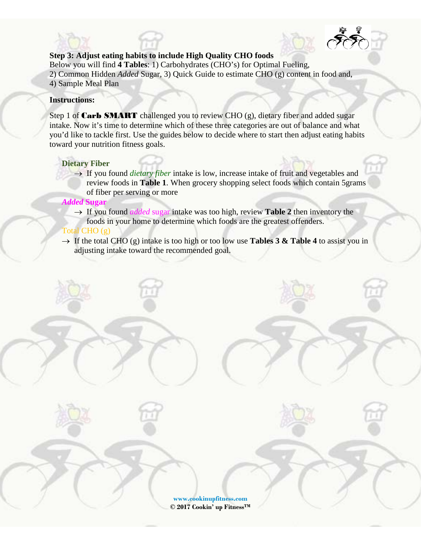### **Step 3: Adjust eating habits to include High Quality CHO foods**

Below you will find **4 Tables**: 1) Carbohydrates (CHO's) for Optimal Fueling, 2) Common Hidden *Added* Sugar, 3) Quick Guide to estimate CHO (g) content in food and, 4) Sample Meal Plan

#### **Instructions:**

Step 1 of **Carb SMART** challenged you to review CHO  $(g)$ , dietary fiber and added sugar intake. Now it's time to determine which of these three categories are out of balance and what you'd like to tackle first. Use the guides below to decide where to start then adjust eating habits toward your nutrition fitness goals.

#### **Dietary Fiber**

→ If you found *dietary fiber* intake is low, increase intake of fruit and vegetables and review foods in **Table 1**. When grocery shopping select foods which contain 5grams of fiber per serving or more

#### *Added* **Sugar**

- $\rightarrow$  If you found *added* sugar intake was too high, review **Table 2** then inventory the foods in your home to determine which foods are the greatest offenders. Total CHO (g)
- $\rightarrow$  If the total CHO (g) intake is too high or too low use **Tables 3 & Table 4** to assist you in adjusting intake toward the recommended goal.

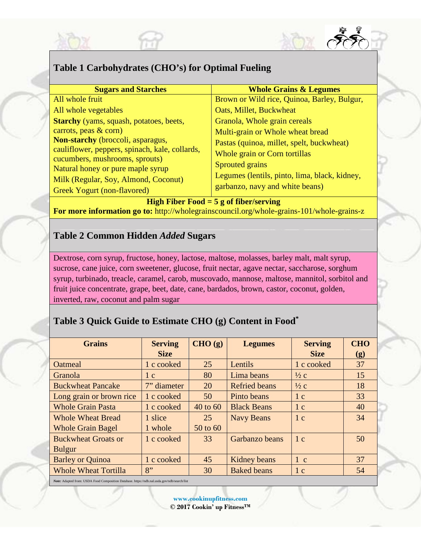

# **Table 1 Carbohydrates (CHO's) for Optimal Fueling**

| <b>Sugars and Starches</b>                                                                                            | <b>Whole Grains &amp; Legumes</b>             |  |  |
|-----------------------------------------------------------------------------------------------------------------------|-----------------------------------------------|--|--|
| All whole fruit                                                                                                       | Brown or Wild rice, Quinoa, Barley, Bulgur,   |  |  |
| All whole vegetables                                                                                                  | Oats, Millet, Buckwheat                       |  |  |
| <b>Starchy</b> (yams, squash, potatoes, beets,                                                                        | Granola, Whole grain cereals                  |  |  |
| carrots, peas $\&$ corn)                                                                                              | Multi-grain or Whole wheat bread              |  |  |
| Non-starchy (broccoli, asparagus,<br>cauliflower, peppers, spinach, kale, collards,<br>cucumbers, mushrooms, sprouts) | Pastas (quinoa, millet, spelt, buckwheat)     |  |  |
|                                                                                                                       | Whole grain or Corn tortillas                 |  |  |
| Natural honey or pure maple syrup                                                                                     | Sprouted grains                               |  |  |
| Milk (Regular, Soy, Almond, Coconut)                                                                                  | Legumes (lentils, pinto, lima, black, kidney, |  |  |
| Greek Yogurt (non-flavored)                                                                                           | garbanzo, navy and white beans)               |  |  |
| <b>High Fiber Food = 5 g of fiber/serving</b>                                                                         |                                               |  |  |

**For more information go to:** <http://wholegrainscouncil.org/whole-grains-101/whole-grains-z>

## **Table 2 Common Hidden** *Added* **Sugars**

Dextrose, corn syrup, fructose, honey, lactose, maltose, molasses, barley malt, malt syrup, sucrose, cane juice, corn sweetener, glucose, fruit nectar, agave nectar, saccharose, sorghum syrup, turbinado, treacle, caramel, carob, muscovado, mannose, maltose, mannitol, sorbitol and fruit juice concentrate, grape, beet, date, cane, bardados, brown, castor, coconut, golden, inverted, raw, coconut and palm sugar

# **Table 3 Quick Guide to Estimate CHO (g) Content in Food\***

| <b>Grains</b>               | <b>Serving</b> | CHO (g)  | <b>Legumes</b>       | <b>Serving</b> | <b>CHO</b> |
|-----------------------------|----------------|----------|----------------------|----------------|------------|
|                             | <b>Size</b>    |          |                      | <b>Size</b>    | (g)        |
| <b>Oatmeal</b>              | 1 c cooked     | 25       | Lentils              | 1 c cooked     | 37         |
| Granola                     | 1 <sup>c</sup> | 80       | Lima beans           | $\frac{1}{2}c$ | 15         |
| <b>Buckwheat Pancake</b>    | 7" diameter    | 20       | <b>Refried beans</b> | $\frac{1}{2}c$ | 18         |
| Long grain or brown rice    | 1 c cooked     | 50       | Pinto beans          | 1 <sup>c</sup> | 33         |
| <b>Whole Grain Pasta</b>    | 1 c cooked     | 40 to 60 | <b>Black Beans</b>   | 1c             | 40         |
| <b>Whole Wheat Bread</b>    | 1 slice        | 25       | <b>Navy Beans</b>    | 1 <sup>c</sup> | 34         |
| <b>Whole Grain Bagel</b>    | 1 whole        | 50 to 60 |                      |                |            |
| <b>Buckwheat Groats or</b>  | 1 c cooked     | 33       | Garbanzo beans       | 1 <sub>c</sub> | 50         |
| <b>Bulgur</b>               |                |          |                      |                |            |
| <b>Barley or Quinoa</b>     | 1 c cooked     | 45       | Kidney beans         | $1\ c$         | 37         |
| <b>Whole Wheat Tortilla</b> | 8"             | 30       | <b>Baked beans</b>   | 1 <sub>c</sub> | 54         |

*Note:* Adapted from: USDA Food Composition Database. https://ndb.nal.usda.gov/ndb/search/list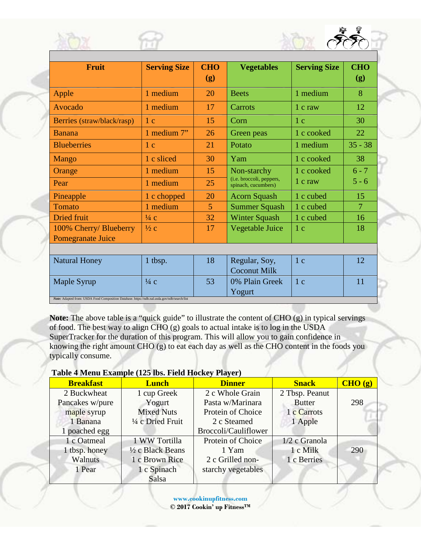| Fruit                                                                                        | <b>Serving Size</b> | <b>CHO</b><br>(g) | <b>Vegetables</b>                               | <b>Serving Size</b> | <b>CHO</b><br>(g) |
|----------------------------------------------------------------------------------------------|---------------------|-------------------|-------------------------------------------------|---------------------|-------------------|
| Apple                                                                                        | 1 medium            | 20                | <b>Beets</b>                                    | 1 medium            | 8                 |
| Avocado                                                                                      | 1 medium            | 17                | Carrots                                         | 1 c raw             | 12                |
| Berries (straw/black/rasp)                                                                   | 1 <sub>c</sub>      | 15                | Corn                                            | 1 <sup>c</sup>      | 30                |
| <b>Banana</b>                                                                                | 1 medium 7"         | 26                | Green peas                                      | 1 c cooked          | 22                |
| <b>Blueberries</b>                                                                           | 1 <sub>c</sub>      | 21                | Potato                                          | 1 medium            | $35 - 38$         |
| <b>Mango</b>                                                                                 | 1 c sliced          | 30                | Yam                                             | 1 c cooked          | 38                |
| Orange                                                                                       | 1 medium            | 15                | Non-starchy                                     | 1 c cooked          | $6 - 7$           |
| Pear                                                                                         | 1 medium            | 25                | (i.e. broccoli, peppers,<br>spinach, cucumbers) | 1 c raw             | $5 - 6$           |
| Pineapple                                                                                    | 1 c chopped         | 20                | <b>Acorn Squash</b>                             | 1 c cubed           | 15                |
| <b>Tomato</b>                                                                                | 1 medium            | 5                 | <b>Summer Squash</b>                            | 1 c cubed           | 7                 |
| <b>Dried</b> fruit                                                                           | $\frac{1}{4}c$      | 32                | <b>Winter Squash</b>                            | 1 c cubed           | 16                |
| 100% Cherry/ Blueberry                                                                       | $\frac{1}{2}c$      | 17                | Vegetable Juice                                 | 1 <sub>c</sub>      | 18                |
| Pomegranate Juice                                                                            |                     |                   |                                                 |                     |                   |
|                                                                                              |                     |                   |                                                 |                     |                   |
| <b>Natural Honey</b>                                                                         | 1 tbsp.             | 18                | Regular, Soy,                                   | 1 <sub>c</sub>      | 12                |
|                                                                                              |                     |                   | <b>Coconut Milk</b>                             |                     |                   |
| Maple Syrup                                                                                  | $\frac{1}{4}$ C     | 53                | 0% Plain Greek                                  | 1 <sub>c</sub>      | 11                |
| Note: Adapted from: USDA Food Composition Database. https://ndb.nal.usda.gov/ndb/search/list |                     |                   | Yogurt                                          |                     |                   |
|                                                                                              |                     |                   |                                                 |                     |                   |

**Note:** The above table is a "quick guide" to illustrate the content of CHO (g) in typical servings of food. The best way to align CHO (g) goals to actual intake is to log in the USDA SuperTracker for the duration of this program. This will allow you to gain confidence in knowing the right amount CHO (g) to eat each day as well as the CHO content in the foods you typically consume.

### **Table 4 Menu Example (125 lbs. Field Hockey Player)**

| <b>Breakfast</b> | <b>Lunch</b>      | <b>Dinner</b>        | <b>Snack</b>    | CHO(g) |
|------------------|-------------------|----------------------|-----------------|--------|
| 2 Buckwheat      | 1 cup Greek       | 2 c Whole Grain      | 2 Tbsp. Peanut  |        |
| Pancakes w/pure  | Yogurt            | Pasta w/Marinara     | <b>Butter</b>   | 298    |
| maple syrup      | <b>Mixed Nuts</b> | Protein of Choice    | 1 c Carrots     |        |
| 1 Banana         | 1/4 c Dried Fruit | 2 c Steamed          | 1 Apple         |        |
| 1 poached egg    |                   | Broccoli/Cauliflower |                 |        |
| 1 c Oatmeal      | 1 WW Tortilla     | Protein of Choice    | $1/2$ c Granola |        |
| 1 tbsp. honey    | 1/2 c Black Beans | 1 Yam                | 1 c Milk        | 290    |
| Walnuts          | 1 c Brown Rice    | 2 c Grilled non-     | 1 c Berries     |        |
| 1 Pear           | 1 c Spinach       | starchy vegetables   |                 |        |
|                  | Salsa             |                      |                 |        |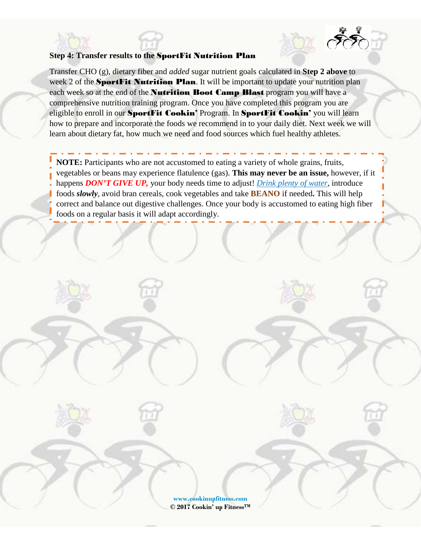#### **Step 4: Transfer results to the** SportFit Nutrition Plan

Transfer CHO (g), dietary fiber and *added* sugar nutrient goals calculated in **Step 2 above** to week 2 of the **SportFit Nutrition Plan**. It will be important to update your nutrition plan each week so at the end of the **Nutrition Boot Camp Blast** program you will have a comprehensive nutrition training program. Once you have completed this program you are eligible to enroll in our SportFit Cookin' Program. In SportFit Cookin' you will learn how to prepare and incorporate the foods we recommend in to your daily diet. Next week we will learn about dietary fat, how much we need and food sources which fuel healthy athletes.

**NOTE:** Participants who are not accustomed to eating a variety of whole grains, fruits, vegetables or beans may experience flatulence (gas). **This may never be an issue,** however, if it happens *DON'T GIVE UP,* your body needs time to adjust! *Drink plenty of water*, introduce foods *slowly*, avoid bran cereals, cook vegetables and take **BEANO** if needed**.** This will help correct and balance out digestive challenges. Once your body is accustomed to eating high fiber foods on a regular basis it will adapt accordingly.